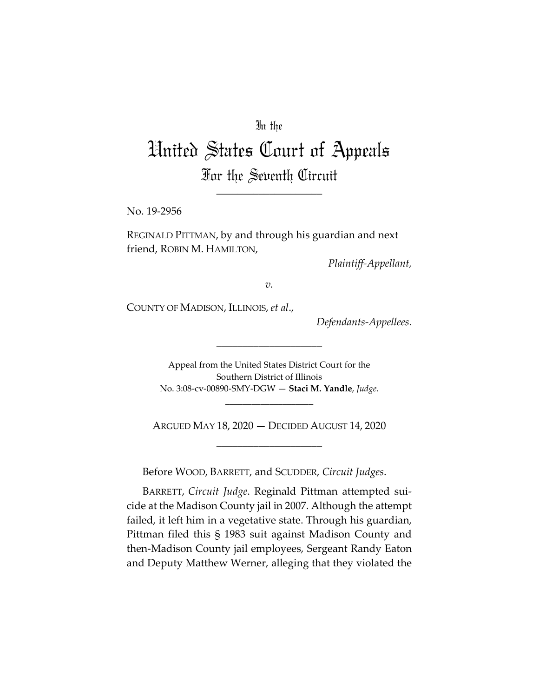## In the

# United States Court of Appeals For the Seventh Circuit

\_\_\_\_\_\_\_\_\_\_\_\_\_\_\_\_\_\_\_\_

No. 19-2956

REGINALD PITTMAN, by and through his guardian and next friend, ROBIN M. HAMILTON,

*Plaintiff-Appellant,* 

*v.*

COUNTY OF MADISON, ILLINOIS, *et al*.,

*Defendants-Appellees.* 

Appeal from the United States District Court for the Southern District of Illinois No. 3:08-cv-00890-SMY-DGW — **Staci M. Yandle**, *Judge*.

\_\_\_\_\_\_\_\_\_\_\_\_\_\_\_\_\_\_\_\_

\_\_\_\_\_\_\_\_\_\_\_\_\_\_\_\_\_\_\_\_

ARGUED MAY 18, 2020 — DECIDED AUGUST 14, 2020 \_\_\_\_\_\_\_\_\_\_\_\_\_\_\_\_\_\_\_\_

Before WOOD, BARRETT, and SCUDDER, *Circuit Judges*.

BARRETT, *Circuit Judge*. Reginald Pittman attempted suicide at the Madison County jail in 2007. Although the attempt failed, it left him in a vegetative state. Through his guardian, Pittman filed this § 1983 suit against Madison County and then-Madison County jail employees, Sergeant Randy Eaton and Deputy Matthew Werner, alleging that they violated the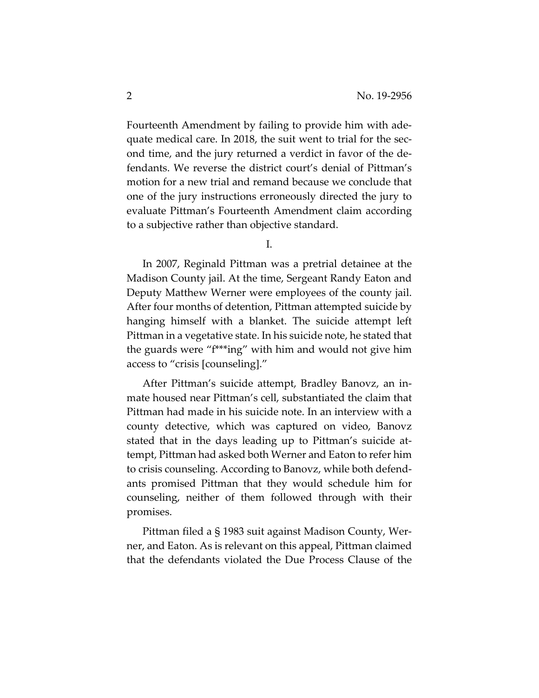Fourteenth Amendment by failing to provide him with adequate medical care. In 2018, the suit went to trial for the second time, and the jury returned a verdict in favor of the defendants. We reverse the district court's denial of Pittman's motion for a new trial and remand because we conclude that one of the jury instructions erroneously directed the jury to evaluate Pittman's Fourteenth Amendment claim according to a subjective rather than objective standard.

I.

In 2007, Reginald Pittman was a pretrial detainee at the Madison County jail. At the time, Sergeant Randy Eaton and Deputy Matthew Werner were employees of the county jail. After four months of detention, Pittman attempted suicide by hanging himself with a blanket. The suicide attempt left Pittman in a vegetative state. In his suicide note, he stated that the guards were "f\*\*\*ing" with him and would not give him access to "crisis [counseling]."

After Pittman's suicide attempt, Bradley Banovz, an inmate housed near Pittman's cell, substantiated the claim that Pittman had made in his suicide note. In an interview with a county detective, which was captured on video, Banovz stated that in the days leading up to Pittman's suicide attempt, Pittman had asked both Werner and Eaton to refer him to crisis counseling. According to Banovz, while both defendants promised Pittman that they would schedule him for counseling, neither of them followed through with their promises.

Pittman filed a § 1983 suit against Madison County, Werner, and Eaton. As is relevant on this appeal, Pittman claimed that the defendants violated the Due Process Clause of the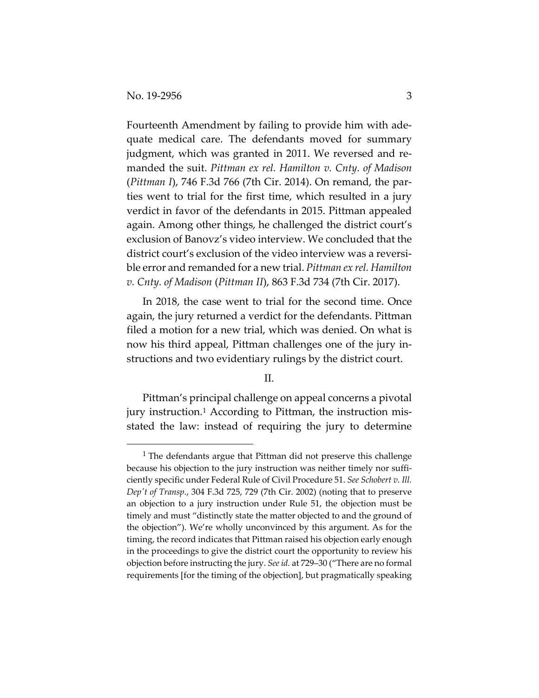Fourteenth Amendment by failing to provide him with adequate medical care. The defendants moved for summary judgment, which was granted in 2011. We reversed and remanded the suit. *Pittman ex rel. Hamilton v. Cnty. of Madison*  (*Pittman I*), 746 F.3d 766 (7th Cir. 2014). On remand, the parties went to trial for the first time, which resulted in a jury verdict in favor of the defendants in 2015. Pittman appealed again. Among other things, he challenged the district court's exclusion of Banovz's video interview. We concluded that the district court's exclusion of the video interview was a reversible error and remanded for a new trial. *Pittman ex rel. Hamilton v. Cnty. of Madison* (*Pittman II*), 863 F.3d 734 (7th Cir. 2017).

In 2018, the case went to trial for the second time. Once again, the jury returned a verdict for the defendants. Pittman filed a motion for a new trial, which was denied. On what is now his third appeal, Pittman challenges one of the jury instructions and two evidentiary rulings by the district court.

II.

Pittman's principal challenge on appeal concerns a pivotal jury instruction.1 According to Pittman, the instruction misstated the law: instead of requiring the jury to determine

<sup>1</sup> The defendants argue that Pittman did not preserve this challenge because his objection to the jury instruction was neither timely nor sufficiently specific under Federal Rule of Civil Procedure 51. *See Schobert v. Ill. Dep't of Transp.*, 304 F.3d 725, 729 (7th Cir. 2002) (noting that to preserve an objection to a jury instruction under Rule 51, the objection must be timely and must "distinctly state the matter objected to and the ground of the objection"). We're wholly unconvinced by this argument. As for the timing, the record indicates that Pittman raised his objection early enough in the proceedings to give the district court the opportunity to review his objection before instructing the jury. *See id.* at 729–30 ("There are no formal requirements [for the timing of the objection], but pragmatically speaking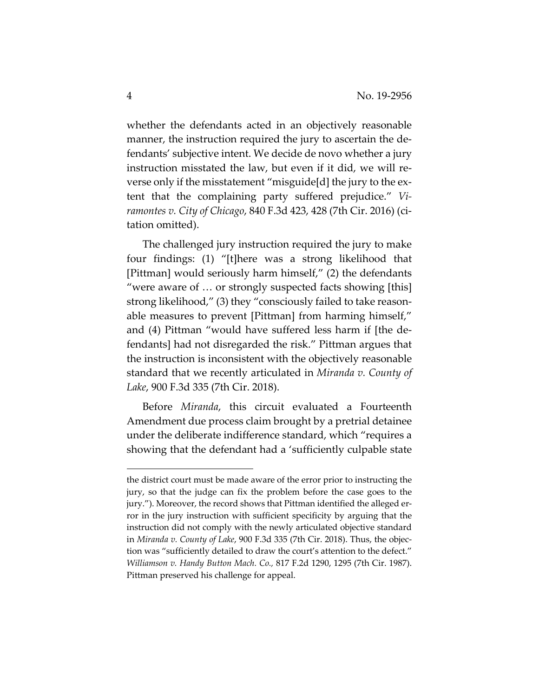whether the defendants acted in an objectively reasonable manner, the instruction required the jury to ascertain the defendants' subjective intent. We decide de novo whether a jury instruction misstated the law, but even if it did, we will reverse only if the misstatement "misguide[d] the jury to the extent that the complaining party suffered prejudice." *Viramontes v. City of Chicago*, 840 F.3d 423, 428 (7th Cir. 2016) (citation omitted).

The challenged jury instruction required the jury to make four findings: (1) "[t]here was a strong likelihood that [Pittman] would seriously harm himself," (2) the defendants "were aware of … or strongly suspected facts showing [this] strong likelihood," (3) they "consciously failed to take reasonable measures to prevent [Pittman] from harming himself," and (4) Pittman "would have suffered less harm if [the defendants] had not disregarded the risk." Pittman argues that the instruction is inconsistent with the objectively reasonable standard that we recently articulated in *Miranda v. County of Lake*, 900 F.3d 335 (7th Cir. 2018).

Before *Miranda*, this circuit evaluated a Fourteenth Amendment due process claim brought by a pretrial detainee under the deliberate indifference standard, which "requires a showing that the defendant had a 'sufficiently culpable state

the district court must be made aware of the error prior to instructing the jury, so that the judge can fix the problem before the case goes to the jury."). Moreover, the record shows that Pittman identified the alleged error in the jury instruction with sufficient specificity by arguing that the instruction did not comply with the newly articulated objective standard in *Miranda v. County of Lake*, 900 F.3d 335 (7th Cir. 2018). Thus, the objection was "sufficiently detailed to draw the court's attention to the defect." *Williamson v. Handy Button Mach. Co.,* 817 F.2d 1290, 1295 (7th Cir. 1987). Pittman preserved his challenge for appeal.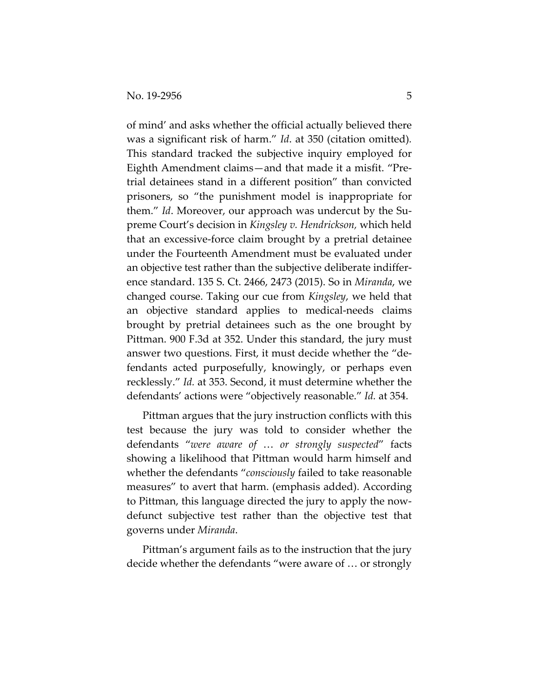of mind' and asks whether the official actually believed there was a significant risk of harm." *Id*. at 350 (citation omitted)*.* This standard tracked the subjective inquiry employed for Eighth Amendment claims—and that made it a misfit. "Pretrial detainees stand in a different position" than convicted prisoners, so "the punishment model is inappropriate for them." *Id*. Moreover, our approach was undercut by the Supreme Court's decision in *Kingsley v. Hendrickson,* which held that an excessive-force claim brought by a pretrial detainee under the Fourteenth Amendment must be evaluated under an objective test rather than the subjective deliberate indifference standard. 135 S. Ct. 2466, 2473 (2015). So in *Miranda*, we changed course. Taking our cue from *Kingsley*, we held that an objective standard applies to medical-needs claims brought by pretrial detainees such as the one brought by Pittman. 900 F.3d at 352. Under this standard, the jury must answer two questions. First, it must decide whether the "defendants acted purposefully, knowingly, or perhaps even recklessly." *Id.* at 353. Second, it must determine whether the defendants' actions were "objectively reasonable." *Id.* at 354.

Pittman argues that the jury instruction conflicts with this test because the jury was told to consider whether the defendants "*were aware of* … *or strongly suspected*" facts showing a likelihood that Pittman would harm himself and whether the defendants "*consciously* failed to take reasonable measures" to avert that harm. (emphasis added). According to Pittman, this language directed the jury to apply the nowdefunct subjective test rather than the objective test that governs under *Miranda*.

Pittman's argument fails as to the instruction that the jury decide whether the defendants "were aware of … or strongly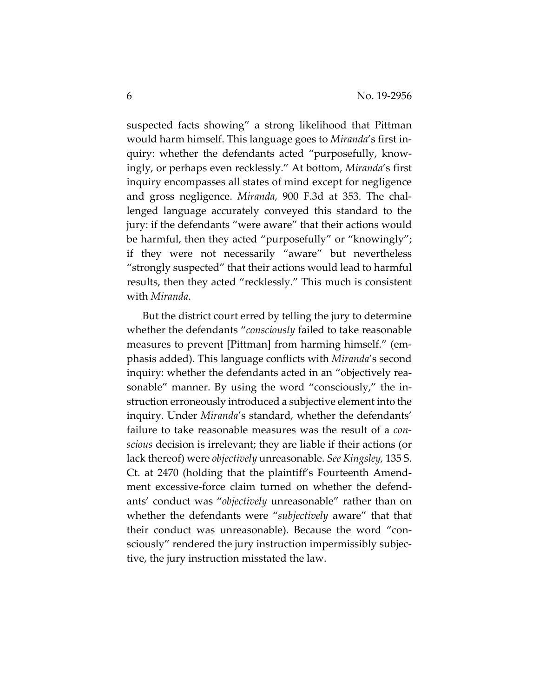suspected facts showing" a strong likelihood that Pittman would harm himself. This language goes to *Miranda*'s first inquiry: whether the defendants acted "purposefully, knowingly, or perhaps even recklessly." At bottom, *Miranda*'s first inquiry encompasses all states of mind except for negligence and gross negligence. *Miranda,* 900 F.3d at 353. The challenged language accurately conveyed this standard to the jury: if the defendants "were aware" that their actions would be harmful, then they acted "purposefully" or "knowingly"; if they were not necessarily "aware" but nevertheless "strongly suspected" that their actions would lead to harmful results, then they acted "recklessly." This much is consistent with *Miranda*.

But the district court erred by telling the jury to determine whether the defendants "*consciously* failed to take reasonable measures to prevent [Pittman] from harming himself." (emphasis added). This language conflicts with *Miranda*'s second inquiry: whether the defendants acted in an "objectively reasonable" manner. By using the word "consciously," the instruction erroneously introduced a subjective element into the inquiry. Under *Miranda*'s standard, whether the defendants' failure to take reasonable measures was the result of a *conscious* decision is irrelevant; they are liable if their actions (or lack thereof) were *objectively* unreasonable. *See Kingsley,* 135 S. Ct. at 2470 (holding that the plaintiff's Fourteenth Amendment excessive-force claim turned on whether the defendants' conduct was "*objectively* unreasonable" rather than on whether the defendants were "*subjectively* aware" that that their conduct was unreasonable). Because the word "consciously" rendered the jury instruction impermissibly subjective, the jury instruction misstated the law.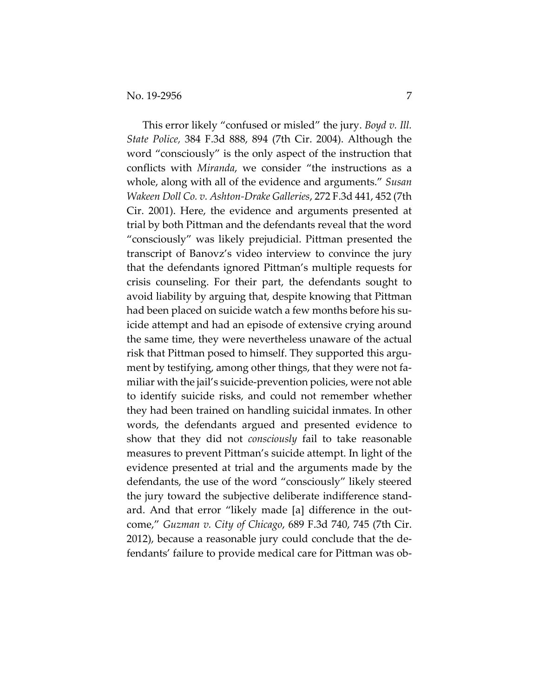This error likely "confused or misled" the jury. *Boyd v. Ill. State Police,* 384 F.3d 888, 894 (7th Cir. 2004). Although the word "consciously" is the only aspect of the instruction that conflicts with *Miranda*, we consider "the instructions as a whole, along with all of the evidence and arguments." *Susan Wakeen Doll Co. v. Ashton-Drake Galleries*, 272 F.3d 441, 452 (7th Cir. 2001). Here, the evidence and arguments presented at trial by both Pittman and the defendants reveal that the word "consciously" was likely prejudicial. Pittman presented the transcript of Banovz's video interview to convince the jury that the defendants ignored Pittman's multiple requests for crisis counseling. For their part, the defendants sought to avoid liability by arguing that, despite knowing that Pittman had been placed on suicide watch a few months before his suicide attempt and had an episode of extensive crying around the same time, they were nevertheless unaware of the actual risk that Pittman posed to himself. They supported this argument by testifying, among other things, that they were not familiar with the jail's suicide-prevention policies, were not able to identify suicide risks, and could not remember whether they had been trained on handling suicidal inmates. In other words, the defendants argued and presented evidence to show that they did not *consciously* fail to take reasonable measures to prevent Pittman's suicide attempt. In light of the evidence presented at trial and the arguments made by the defendants, the use of the word "consciously" likely steered the jury toward the subjective deliberate indifference standard. And that error "likely made [a] difference in the outcome," *Guzman v. City of Chicago*, 689 F.3d 740, 745 (7th Cir. 2012), because a reasonable jury could conclude that the defendants' failure to provide medical care for Pittman was ob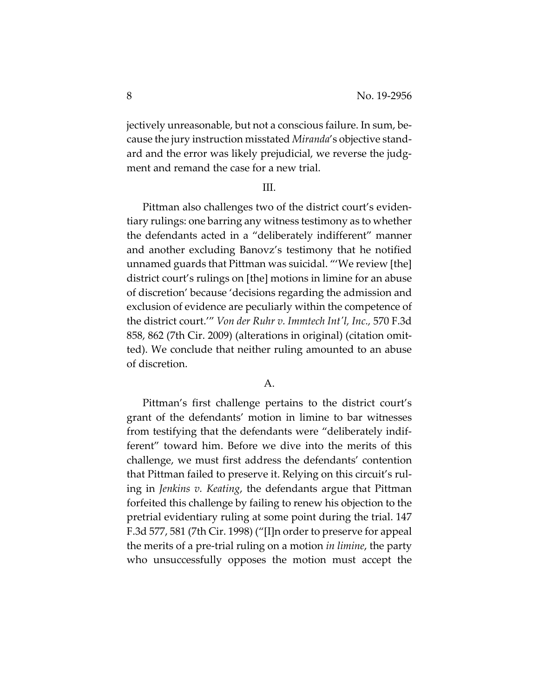jectively unreasonable, but not a conscious failure. In sum, because the jury instruction misstated *Miranda*'s objective standard and the error was likely prejudicial, we reverse the judgment and remand the case for a new trial.

#### III.

Pittman also challenges two of the district court's evidentiary rulings: one barring any witness testimony as to whether the defendants acted in a "deliberately indifferent" manner and another excluding Banovz's testimony that he notified unnamed guards that Pittman was suicidal. "'We review [the] district court's rulings on [the] motions in limine for an abuse of discretion' because 'decisions regarding the admission and exclusion of evidence are peculiarly within the competence of the district court.'" *Von der Ruhr v. Immtech Int'l, Inc.,* 570 F.3d 858, 862 (7th Cir. 2009) (alterations in original) (citation omitted). We conclude that neither ruling amounted to an abuse of discretion.

### A.

Pittman's first challenge pertains to the district court's grant of the defendants' motion in limine to bar witnesses from testifying that the defendants were "deliberately indifferent" toward him. Before we dive into the merits of this challenge, we must first address the defendants' contention that Pittman failed to preserve it. Relying on this circuit's ruling in *Jenkins v. Keating*, the defendants argue that Pittman forfeited this challenge by failing to renew his objection to the pretrial evidentiary ruling at some point during the trial. 147 F.3d 577, 581 (7th Cir. 1998) ("[I]n order to preserve for appeal the merits of a pre-trial ruling on a motion *in limine*, the party who unsuccessfully opposes the motion must accept the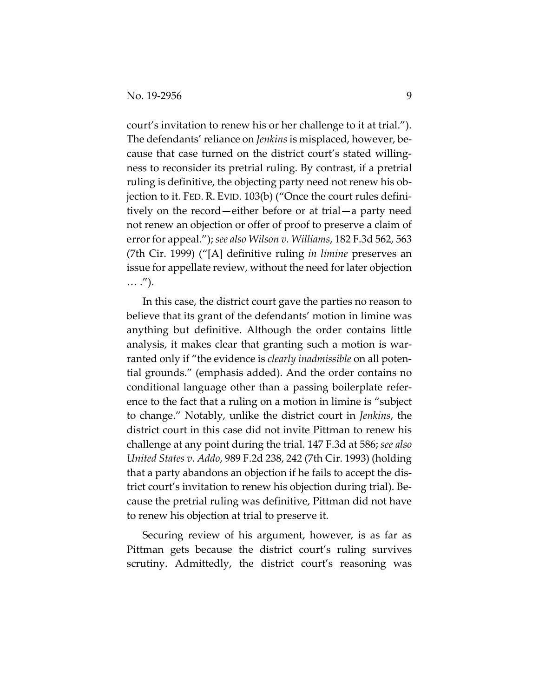court's invitation to renew his or her challenge to it at trial."). The defendants' reliance on *Jenkins* is misplaced, however, because that case turned on the district court's stated willingness to reconsider its pretrial ruling. By contrast, if a pretrial ruling is definitive, the objecting party need not renew his objection to it. FED. R. EVID. 103(b) ("Once the court rules definitively on the record—either before or at trial—a party need not renew an objection or offer of proof to preserve a claim of error for appeal."); *see also Wilson v. Williams*, 182 F.3d 562, 563 (7th Cir. 1999) ("[A] definitive ruling *in limine* preserves an issue for appellate review, without the need for later objection … .").

In this case, the district court gave the parties no reason to believe that its grant of the defendants' motion in limine was anything but definitive. Although the order contains little analysis, it makes clear that granting such a motion is warranted only if "the evidence is *clearly inadmissible* on all potential grounds." (emphasis added). And the order contains no conditional language other than a passing boilerplate reference to the fact that a ruling on a motion in limine is "subject to change." Notably, unlike the district court in *Jenkins*, the district court in this case did not invite Pittman to renew his challenge at any point during the trial. 147 F.3d at 586; *see also United States v. Addo*, 989 F.2d 238, 242 (7th Cir. 1993) (holding that a party abandons an objection if he fails to accept the district court's invitation to renew his objection during trial). Because the pretrial ruling was definitive, Pittman did not have to renew his objection at trial to preserve it.

Securing review of his argument, however, is as far as Pittman gets because the district court's ruling survives scrutiny. Admittedly, the district court's reasoning was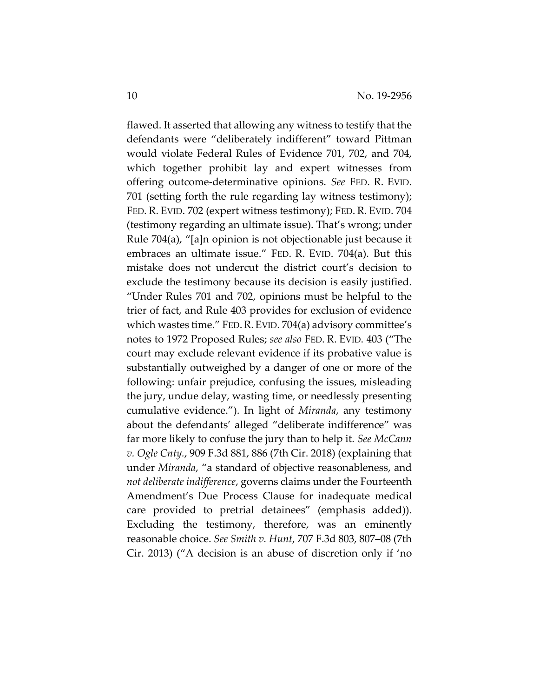flawed. It asserted that allowing any witness to testify that the defendants were "deliberately indifferent" toward Pittman would violate Federal Rules of Evidence 701, 702, and 704, which together prohibit lay and expert witnesses from offering outcome-determinative opinions. *See* FED. R. EVID. 701 (setting forth the rule regarding lay witness testimony); FED. R. EVID. 702 (expert witness testimony); FED. R. EVID. 704 (testimony regarding an ultimate issue). That's wrong; under Rule 704(a), "[a]n opinion is not objectionable just because it embraces an ultimate issue." FED. R. EVID. 704(a). But this mistake does not undercut the district court's decision to exclude the testimony because its decision is easily justified. "Under Rules 701 and 702, opinions must be helpful to the trier of fact, and Rule 403 provides for exclusion of evidence which wastes time." FED.R. EVID. 704(a) advisory committee's notes to 1972 Proposed Rules; *see also* FED. R. EVID. 403 ("The court may exclude relevant evidence if its probative value is substantially outweighed by a danger of one or more of the following: unfair prejudice, confusing the issues, misleading the jury, undue delay, wasting time, or needlessly presenting cumulative evidence."). In light of *Miranda*, any testimony about the defendants' alleged "deliberate indifference" was far more likely to confuse the jury than to help it. *See McCann v. Ogle Cnty.*, 909 F.3d 881, 886 (7th Cir. 2018) (explaining that under *Miranda*, "a standard of objective reasonableness, and *not deliberate indifference*, governs claims under the Fourteenth Amendment's Due Process Clause for inadequate medical care provided to pretrial detainees" (emphasis added)). Excluding the testimony, therefore, was an eminently reasonable choice. *See Smith v. Hunt*, 707 F.3d 803, 807–08 (7th Cir. 2013) ("A decision is an abuse of discretion only if 'no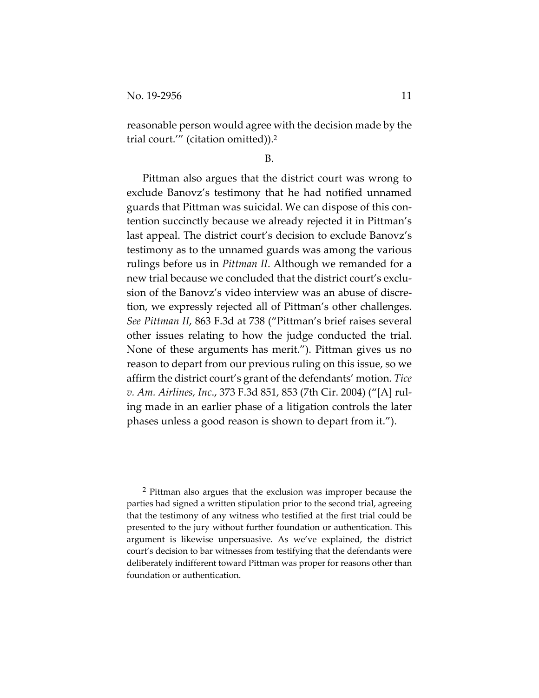reasonable person would agree with the decision made by the trial court.'" (citation omitted)).2

#### B.

Pittman also argues that the district court was wrong to exclude Banovz's testimony that he had notified unnamed guards that Pittman was suicidal. We can dispose of this contention succinctly because we already rejected it in Pittman's last appeal. The district court's decision to exclude Banovz's testimony as to the unnamed guards was among the various rulings before us in *Pittman II*. Although we remanded for a new trial because we concluded that the district court's exclusion of the Banovz's video interview was an abuse of discretion, we expressly rejected all of Pittman's other challenges. *See Pittman II*, 863 F.3d at 738 ("Pittman's brief raises several other issues relating to how the judge conducted the trial. None of these arguments has merit."). Pittman gives us no reason to depart from our previous ruling on this issue, so we affirm the district court's grant of the defendants' motion. *Tice v. Am. Airlines, Inc*., 373 F.3d 851, 853 (7th Cir. 2004) ("[A] ruling made in an earlier phase of a litigation controls the later phases unless a good reason is shown to depart from it.").

<sup>2</sup> Pittman also argues that the exclusion was improper because the parties had signed a written stipulation prior to the second trial, agreeing that the testimony of any witness who testified at the first trial could be presented to the jury without further foundation or authentication. This argument is likewise unpersuasive. As we've explained, the district court's decision to bar witnesses from testifying that the defendants were deliberately indifferent toward Pittman was proper for reasons other than foundation or authentication.